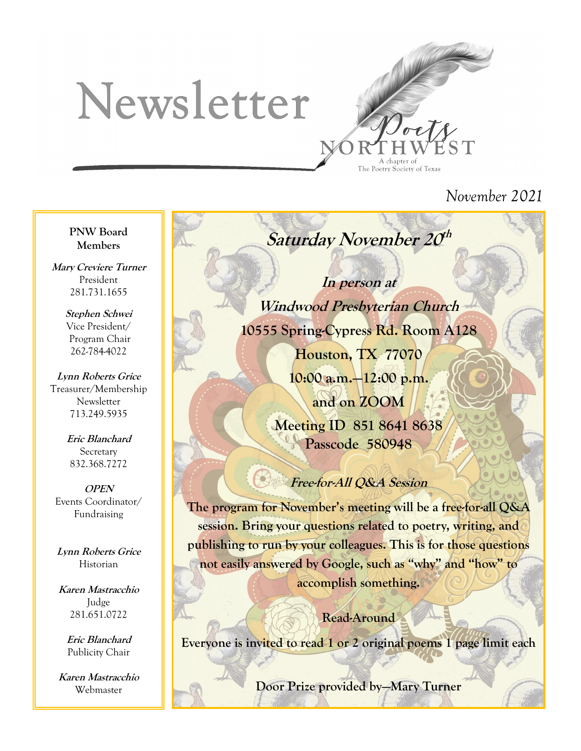# Newsletter



# *November 2021*

#### **PNW Board Members**

**Mary Creviere Turner** President 281.731.1655

> **Stephen Schwei** Vice President/ Program Chair 262-784-4022

**Lynn Roberts Grice** Treasurer/Membership Newsletter 713.249.5935

> **Eric Blanchard Secretary** 832.368.7272

**OPEN** Events Coordinator/ Fundraising

**Lynn Roberts Grice** Historian

**Karen Mastracchio** Judge 281.651.0722

> **Eric Blanchard** Publicity Chair

**Karen Mastracchio** Webmaster

Saturday November 20<sup>th</sup>

# **In person at**

**Windwood Presbyterian Church 10555 Spring-Cypress Rd. Room A128**

> **Houston, TX 77070 10:00 a.m.—12:00 p.m. and on ZOOM Meeting ID 851 8641 8638 Passcode 580948**

## **Free-for-All Q&A Session**

**The program for November's meeting will be a free-for-all Q&A session. Bring your questions related to poetry, writing, and publishing to run by your colleagues. This is for those questions not easily answered by Google, such as "why" and "how" to accomplish something.**

**Read-Around Everyone is invited to read 1 or 2 original poems 1 page limit each**

**Door Prize provided by—Mary Turner**